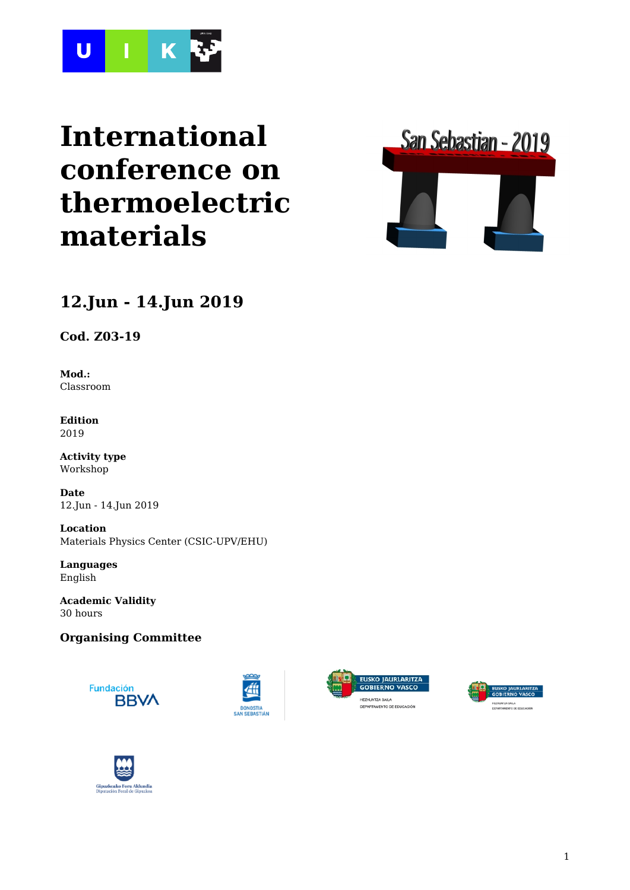

# **International conference on thermoelectric materials**



# **12.Jun - 14.Jun 2019**

**Cod. Z03-19**

**Mod.:** Classroom

**Edition** 2019

**Activity type** Workshop

**Date** 12.Jun - 14.Jun 2019

**Location** Materials Physics Center (CSIC-UPV/EHU)

**Languages** English

**Academic Validity** 30 hours

## **Organising Committee**









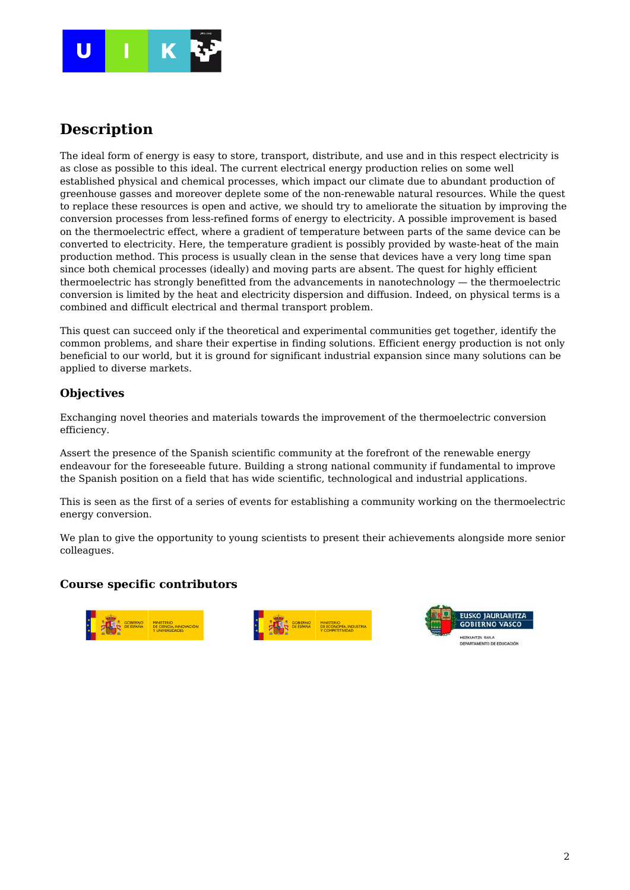

## **Description**

The ideal form of energy is easy to store, transport, distribute, and use and in this respect electricity is as close as possible to this ideal. The current electrical energy production relies on some well established physical and chemical processes, which impact our climate due to abundant production of greenhouse gasses and moreover deplete some of the non-renewable natural resources. While the quest to replace these resources is open and active, we should try to ameliorate the situation by improving the conversion processes from less-refined forms of energy to electricity. A possible improvement is based on the thermoelectric effect, where a gradient of temperature between parts of the same device can be converted to electricity. Here, the temperature gradient is possibly provided by waste-heat of the main production method. This process is usually clean in the sense that devices have a very long time span since both chemical processes (ideally) and moving parts are absent. The quest for highly efficient thermoelectric has strongly benefitted from the advancements in nanotechnology — the thermoelectric conversion is limited by the heat and electricity dispersion and diffusion. Indeed, on physical terms is a combined and difficult electrical and thermal transport problem.

This quest can succeed only if the theoretical and experimental communities get together, identify the common problems, and share their expertise in finding solutions. Efficient energy production is not only beneficial to our world, but it is ground for significant industrial expansion since many solutions can be applied to diverse markets.

## **Objectives**

Exchanging novel theories and materials towards the improvement of the thermoelectric conversion efficiency.

Assert the presence of the Spanish scientific community at the forefront of the renewable energy endeavour for the foreseeable future. Building a strong national community if fundamental to improve the Spanish position on a field that has wide scientific, technological and industrial applications.

This is seen as the first of a series of events for establishing a community working on the thermoelectric energy conversion.

We plan to give the opportunity to young scientists to present their achievements alongside more senior colleagues.

#### **Course specific contributors**





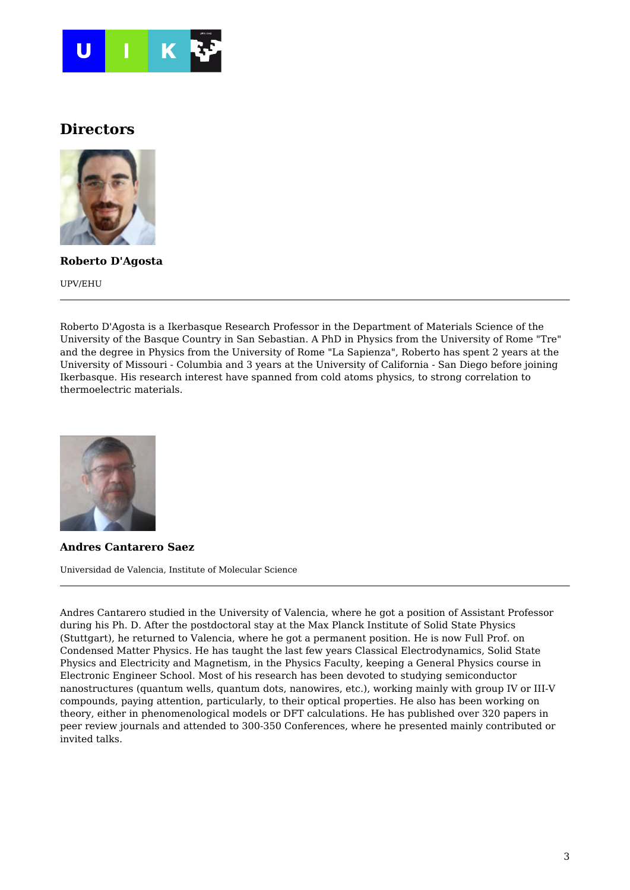

## **Directors**



**Roberto D'Agosta**

UPV/EHU

Roberto D'Agosta is a Ikerbasque Research Professor in the Department of Materials Science of the University of the Basque Country in San Sebastian. A PhD in Physics from the University of Rome "Tre" and the degree in Physics from the University of Rome "La Sapienza", Roberto has spent 2 years at the University of Missouri - Columbia and 3 years at the University of California - San Diego before joining Ikerbasque. His research interest have spanned from cold atoms physics, to strong correlation to thermoelectric materials.



**Andres Cantarero Saez**

Universidad de Valencia, Institute of Molecular Science

Andres Cantarero studied in the University of Valencia, where he got a position of Assistant Professor during his Ph. D. After the postdoctoral stay at the Max Planck Institute of Solid State Physics (Stuttgart), he returned to Valencia, where he got a permanent position. He is now Full Prof. on Condensed Matter Physics. He has taught the last few years Classical Electrodynamics, Solid State Physics and Electricity and Magnetism, in the Physics Faculty, keeping a General Physics course in Electronic Engineer School. Most of his research has been devoted to studying semiconductor nanostructures (quantum wells, quantum dots, nanowires, etc.), working mainly with group IV or III-V compounds, paying attention, particularly, to their optical properties. He also has been working on theory, either in phenomenological models or DFT calculations. He has published over 320 papers in peer review journals and attended to 300-350 Conferences, where he presented mainly contributed or invited talks.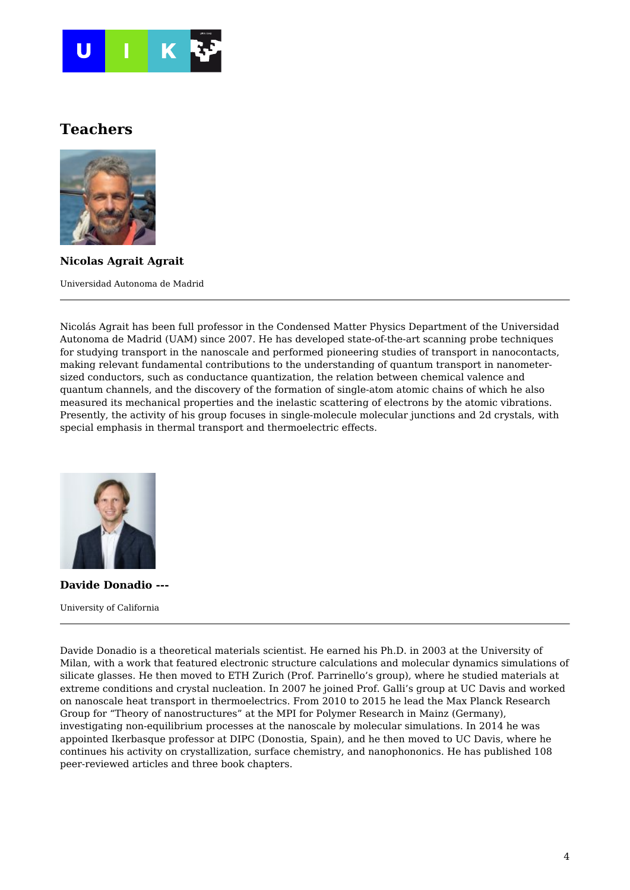

## **Teachers**



**Nicolas Agrait Agrait**

Universidad Autonoma de Madrid

Nicolás Agrait has been full professor in the Condensed Matter Physics Department of the Universidad Autonoma de Madrid (UAM) since 2007. He has developed state-of-the-art scanning probe techniques for studying transport in the nanoscale and performed pioneering studies of transport in nanocontacts, making relevant fundamental contributions to the understanding of quantum transport in nanometersized conductors, such as conductance quantization, the relation between chemical valence and quantum channels, and the discovery of the formation of single-atom atomic chains of which he also measured its mechanical properties and the inelastic scattering of electrons by the atomic vibrations. Presently, the activity of his group focuses in single-molecule molecular junctions and 2d crystals, with special emphasis in thermal transport and thermoelectric effects.



**Davide Donadio ---** University of California

Davide Donadio is a theoretical materials scientist. He earned his Ph.D. in 2003 at the University of Milan, with a work that featured electronic structure calculations and molecular dynamics simulations of silicate glasses. He then moved to ETH Zurich (Prof. Parrinello's group), where he studied materials at extreme conditions and crystal nucleation. In 2007 he joined Prof. Galli's group at UC Davis and worked on nanoscale heat transport in thermoelectrics. From 2010 to 2015 he lead the Max Planck Research Group for "Theory of nanostructures" at the MPI for Polymer Research in Mainz (Germany), investigating non-equilibrium processes at the nanoscale by molecular simulations. In 2014 he was appointed Ikerbasque professor at DIPC (Donostia, Spain), and he then moved to UC Davis, where he continues his activity on crystallization, surface chemistry, and nanophononics. He has published 108 peer-reviewed articles and three book chapters.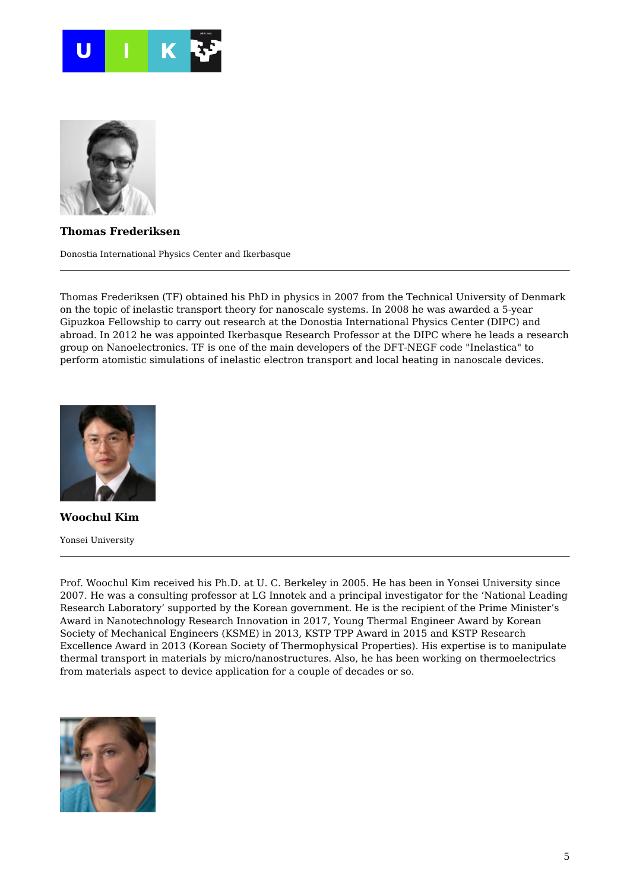



**Thomas Frederiksen**

Donostia International Physics Center and Ikerbasque

Thomas Frederiksen (TF) obtained his PhD in physics in 2007 from the Technical University of Denmark on the topic of inelastic transport theory for nanoscale systems. In 2008 he was awarded a 5-year Gipuzkoa Fellowship to carry out research at the Donostia International Physics Center (DIPC) and abroad. In 2012 he was appointed Ikerbasque Research Professor at the DIPC where he leads a research group on Nanoelectronics. TF is one of the main developers of the DFT-NEGF code "Inelastica" to perform atomistic simulations of inelastic electron transport and local heating in nanoscale devices.



**Woochul Kim** Yonsei University

Prof. Woochul Kim received his Ph.D. at U. C. Berkeley in 2005. He has been in Yonsei University since 2007. He was a consulting professor at LG Innotek and a principal investigator for the 'National Leading Research Laboratory' supported by the Korean government. He is the recipient of the Prime Minister's Award in Nanotechnology Research Innovation in 2017, Young Thermal Engineer Award by Korean Society of Mechanical Engineers (KSME) in 2013, KSTP TPP Award in 2015 and KSTP Research Excellence Award in 2013 (Korean Society of Thermophysical Properties). His expertise is to manipulate thermal transport in materials by micro/nanostructures. Also, he has been working on thermoelectrics from materials aspect to device application for a couple of decades or so.

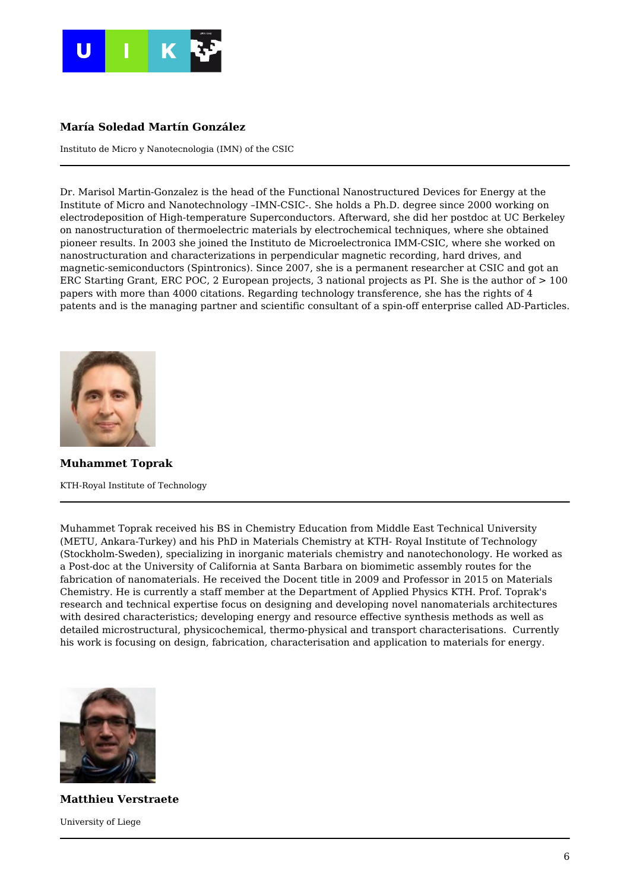

#### **María Soledad Martín González**

Instituto de Micro y Nanotecnologia (IMN) of the CSIC

Dr. Marisol Martin-Gonzalez is the head of the Functional Nanostructured Devices for Energy at the Institute of Micro and Nanotechnology –IMN-CSIC-. She holds a Ph.D. degree since 2000 working on electrodeposition of High-temperature Superconductors. Afterward, she did her postdoc at UC Berkeley on nanostructuration of thermoelectric materials by electrochemical techniques, where she obtained pioneer results. In 2003 she joined the Instituto de Microelectronica IMM-CSIC, where she worked on nanostructuration and characterizations in perpendicular magnetic recording, hard drives, and magnetic-semiconductors (Spintronics). Since 2007, she is a permanent researcher at CSIC and got an ERC Starting Grant, ERC POC, 2 European projects, 3 national projects as PI. She is the author of > 100 papers with more than 4000 citations. Regarding technology transference, she has the rights of 4 patents and is the managing partner and scientific consultant of a spin-off enterprise called AD-Particles.



**Muhammet Toprak**

KTH-Royal Institute of Technology

Muhammet Toprak received his BS in Chemistry Education from Middle East Technical University (METU, Ankara-Turkey) and his PhD in Materials Chemistry at KTH- Royal Institute of Technology (Stockholm-Sweden), specializing in inorganic materials chemistry and nanotechonology. He worked as a Post-doc at the University of California at Santa Barbara on biomimetic assembly routes for the fabrication of nanomaterials. He received the Docent title in 2009 and Professor in 2015 on Materials Chemistry. He is currently a staff member at the Department of Applied Physics KTH. Prof. Toprak's research and technical expertise focus on designing and developing novel nanomaterials architectures with desired characteristics; developing energy and resource effective synthesis methods as well as detailed microstructural, physicochemical, thermo-physical and transport characterisations. Currently his work is focusing on design, fabrication, characterisation and application to materials for energy.



**Matthieu Verstraete** University of Liege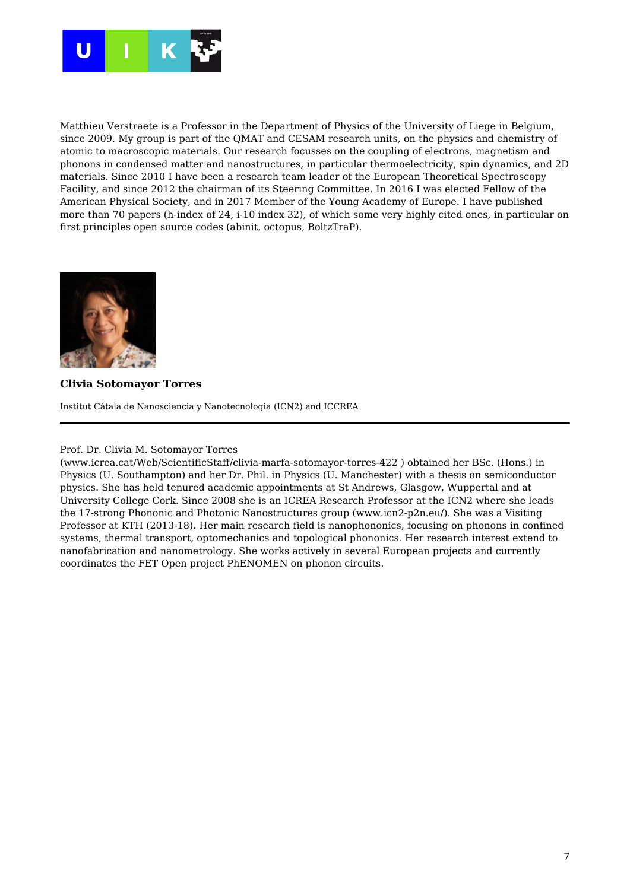

Matthieu Verstraete is a Professor in the Department of Physics of the University of Liege in Belgium, since 2009. My group is part of the QMAT and CESAM research units, on the physics and chemistry of atomic to macroscopic materials. Our research focusses on the coupling of electrons, magnetism and phonons in condensed matter and nanostructures, in particular thermoelectricity, spin dynamics, and 2D materials. Since 2010 I have been a research team leader of the European Theoretical Spectroscopy Facility, and since 2012 the chairman of its Steering Committee. In 2016 I was elected Fellow of the American Physical Society, and in 2017 Member of the Young Academy of Europe. I have published more than 70 papers (h-index of 24, i-10 index 32), of which some very highly cited ones, in particular on first principles open source codes (abinit, octopus, BoltzTraP).



#### **Clivia Sotomayor Torres**

Institut Cátala de Nanosciencia y Nanotecnologia (ICN2) and ICCREA

#### Prof. Dr. Clivia M. Sotomayor Torres

(www.icrea.cat/Web/ScientificStaff/clivia-marfa-sotomayor-torres-422 ) obtained her BSc. (Hons.) in Physics (U. Southampton) and her Dr. Phil. in Physics (U. Manchester) with a thesis on semiconductor physics. She has held tenured academic appointments at St Andrews, Glasgow, Wuppertal and at University College Cork. Since 2008 she is an ICREA Research Professor at the ICN2 where she leads the 17-strong Phononic and Photonic Nanostructures group (www.icn2-p2n.eu/). She was a Visiting Professor at KTH (2013-18). Her main research field is nanophononics, focusing on phonons in confined systems, thermal transport, optomechanics and topological phononics. Her research interest extend to nanofabrication and nanometrology. She works actively in several European projects and currently coordinates the FET Open project PhENOMEN on phonon circuits.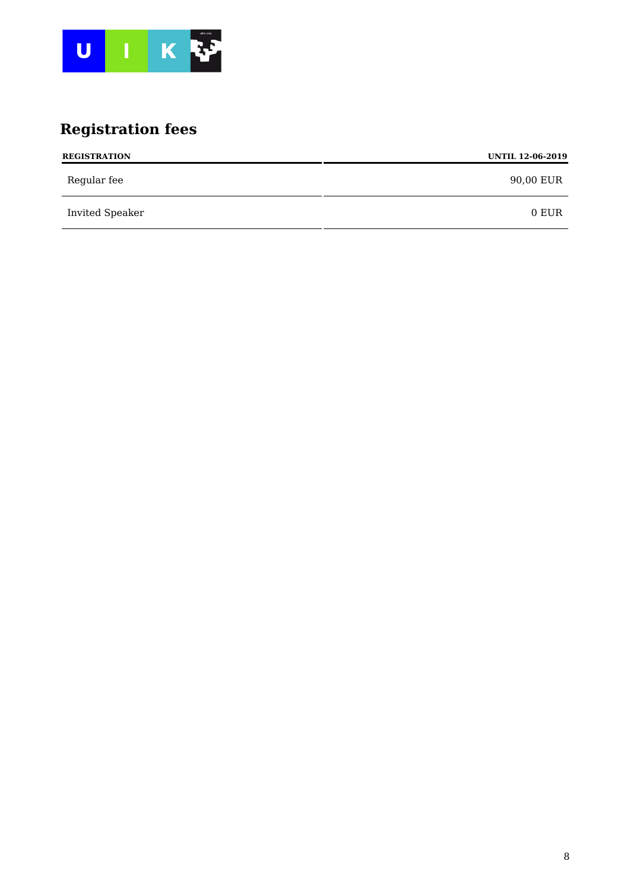

# **Registration fees**

| <b>REGISTRATION</b> | <b>UNTIL 12-06-2019</b> |
|---------------------|-------------------------|
| Regular fee         | 90,00 EUR               |
| Invited Speaker     | 0 EUR                   |